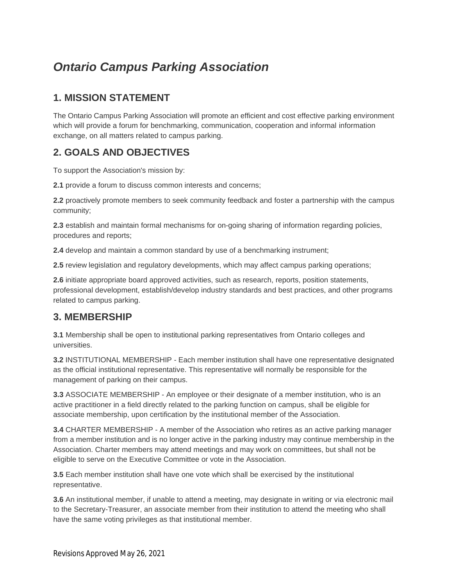# *Ontario Campus Parking Association*

# **1. MISSION STATEMENT**

The Ontario Campus Parking Association will promote an efficient and cost effective parking environment which will provide a forum for benchmarking, communication, cooperation and informal information exchange, on all matters related to campus parking.

# **2. GOALS AND OBJECTIVES**

To support the Association's mission by:

**2.1** provide a forum to discuss common interests and concerns;

**2.2** proactively promote members to seek community feedback and foster a partnership with the campus community;

**2.3** establish and maintain formal mechanisms for on-going sharing of information regarding policies, procedures and reports;

**2.4** develop and maintain a common standard by use of a benchmarking instrument;

**2.5** review legislation and regulatory developments, which may affect campus parking operations;

**2.6** initiate appropriate board approved activities, such as research, reports, position statements, professional development, establish/develop industry standards and best practices, and other programs related to campus parking.

#### **3. MEMBERSHIP**

**3.1** Membership shall be open to institutional parking representatives from Ontario colleges and universities.

**3.2** INSTITUTIONAL MEMBERSHIP - Each member institution shall have one representative designated as the official institutional representative. This representative will normally be responsible for the management of parking on their campus.

**3.3** ASSOCIATE MEMBERSHIP - An employee or their designate of a member institution, who is an active practitioner in a field directly related to the parking function on campus, shall be eligible for associate membership, upon certification by the institutional member of the Association.

**3.4** CHARTER MEMBERSHIP - A member of the Association who retires as an active parking manager from a member institution and is no longer active in the parking industry may continue membership in the Association. Charter members may attend meetings and may work on committees, but shall not be eligible to serve on the Executive Committee or vote in the Association.

**3.5** Each member institution shall have one vote which shall be exercised by the institutional representative.

**3.6** An institutional member, if unable to attend a meeting, may designate in writing or via electronic mail to the Secretary-Treasurer, an associate member from their institution to attend the meeting who shall have the same voting privileges as that institutional member.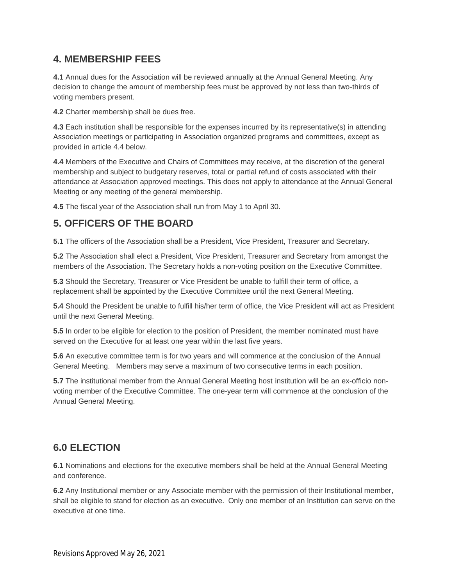### **4. MEMBERSHIP FEES**

**4.1** Annual dues for the Association will be reviewed annually at the Annual General Meeting. Any decision to change the amount of membership fees must be approved by not less than two-thirds of voting members present.

**4.2** Charter membership shall be dues free.

**4.3** Each institution shall be responsible for the expenses incurred by its representative(s) in attending Association meetings or participating in Association organized programs and committees, except as provided in article 4.4 below.

**4.4** Members of the Executive and Chairs of Committees may receive, at the discretion of the general membership and subject to budgetary reserves, total or partial refund of costs associated with their attendance at Association approved meetings. This does not apply to attendance at the Annual General Meeting or any meeting of the general membership.

**4.5** The fiscal year of the Association shall run from May 1 to April 30.

### **5. OFFICERS OF THE BOARD**

**5.1** The officers of the Association shall be a President, Vice President, Treasurer and Secretary.

**5.2** The Association shall elect a President, Vice President, Treasurer and Secretary from amongst the members of the Association. The Secretary holds a non-voting position on the Executive Committee.

**5.3** Should the Secretary, Treasurer or Vice President be unable to fulfill their term of office, a replacement shall be appointed by the Executive Committee until the next General Meeting.

**5.4** Should the President be unable to fulfill his/her term of office, the Vice President will act as President until the next General Meeting.

**5.5** In order to be eligible for election to the position of President, the member nominated must have served on the Executive for at least one year within the last five years.

**5.6** An executive committee term is for two years and will commence at the conclusion of the Annual General Meeting. Members may serve a maximum of two consecutive terms in each position.

**5.7** The institutional member from the Annual General Meeting host institution will be an ex-officio nonvoting member of the Executive Committee. The one-year term will commence at the conclusion of the Annual General Meeting.

# **6.0 ELECTION**

**6.1** Nominations and elections for the executive members shall be held at the Annual General Meeting and conference.

**6.2** Any Institutional member or any Associate member with the permission of their Institutional member, shall be eligible to stand for election as an executive. Only one member of an Institution can serve on the executive at one time.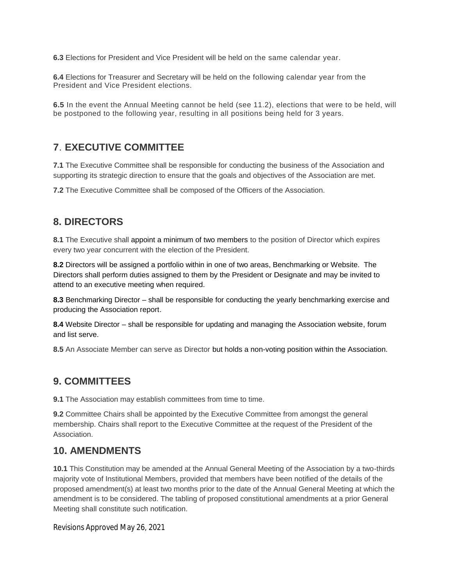**6.3** Elections for President and Vice President will be held on the same calendar year.

**6.4** Elections for Treasurer and Secretary will be held on the following calendar year from the President and Vice President elections.

**6.5** In the event the Annual Meeting cannot be held (see 11.2), elections that were to be held, will be postponed to the following year, resulting in all positions being held for 3 years.

# **7**. **EXECUTIVE COMMITTEE**

**7.1** The Executive Committee shall be responsible for conducting the business of the Association and supporting its strategic direction to ensure that the goals and objectives of the Association are met.

**7.2** The Executive Committee shall be composed of the Officers of the Association.

#### **8. DIRECTORS**

**8.1** The Executive shall appoint a minimum of two members to the position of Director which expires every two year concurrent with the election of the President.

**8.2** Directors will be assigned a portfolio within in one of two areas, Benchmarking or Website. The Directors shall perform duties assigned to them by the President or Designate and may be invited to attend to an executive meeting when required.

**8.3** Benchmarking Director – shall be responsible for conducting the yearly benchmarking exercise and producing the Association report.

**8.4** Website Director – shall be responsible for updating and managing the Association website, forum and list serve.

**8.5** An Associate Member can serve as Director but holds a non-voting position within the Association.

# **9. COMMITTEES**

**9.1** The Association may establish committees from time to time.

**9.2** Committee Chairs shall be appointed by the Executive Committee from amongst the general membership. Chairs shall report to the Executive Committee at the request of the President of the Association.

#### **10. AMENDMENTS**

**10.1** This Constitution may be amended at the Annual General Meeting of the Association by a two-thirds majority vote of Institutional Members, provided that members have been notified of the details of the proposed amendment(s) at least two months prior to the date of the Annual General Meeting at which the amendment is to be considered. The tabling of proposed constitutional amendments at a prior General Meeting shall constitute such notification.

#### Revisions Approved May 26, 2021